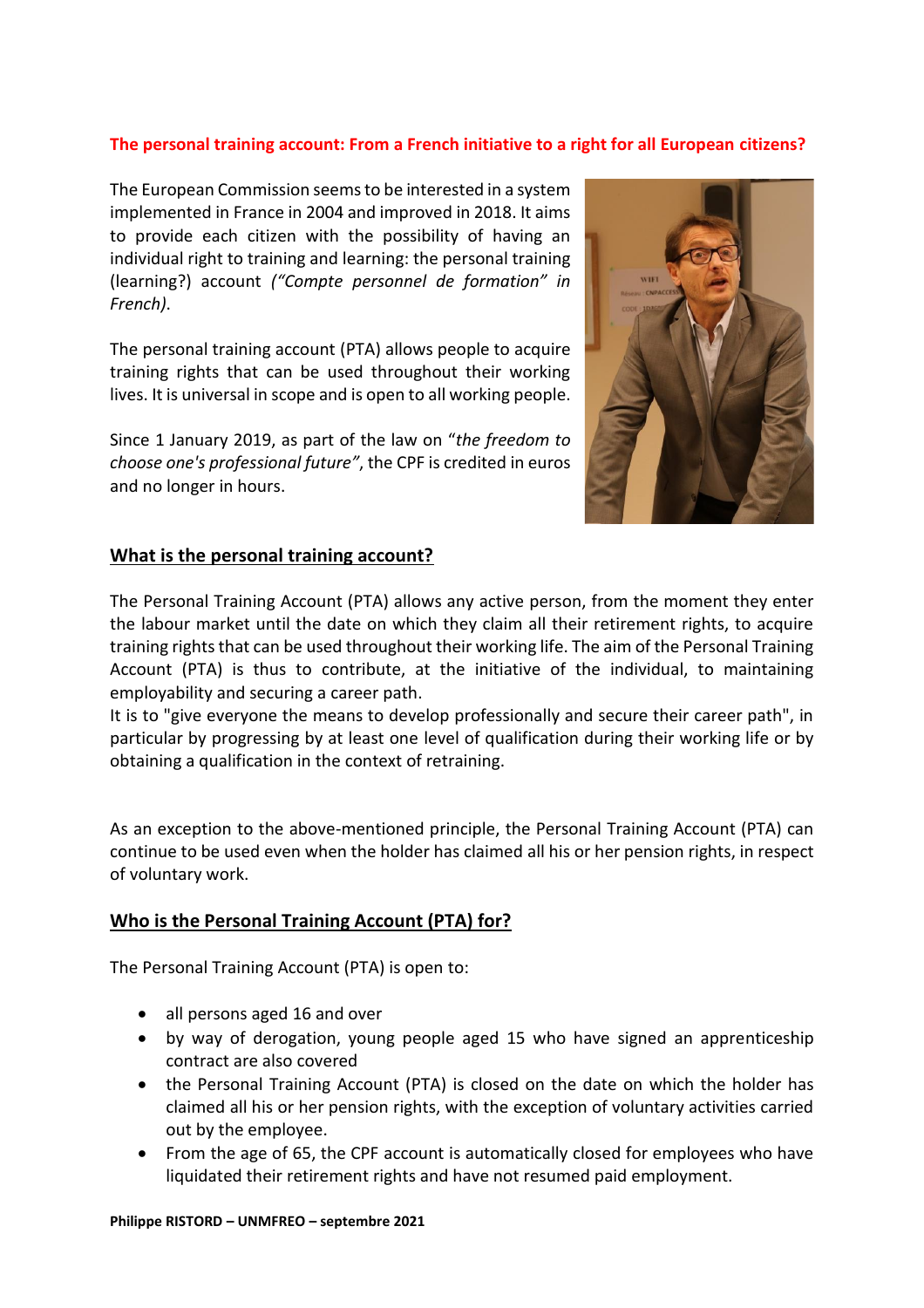## **The personal training account: From a French initiative to a right for all European citizens?**

The European Commission seems to be interested in a system implemented in France in 2004 and improved in 2018. It aims to provide each citizen with the possibility of having an individual right to training and learning: the personal training (learning?) account *("Compte personnel de formation" in French)*.

The personal training account (PTA) allows people to acquire training rights that can be used throughout their working lives. It is universal in scope and is open to all working people.

Since 1 January 2019, as part of the law on "*the freedom to choose one's professional future"*, the CPF is credited in euros and no longer in hours.



## **What is the personal training account?**

The Personal Training Account (PTA) allows any active person, from the moment they enter the labour market until the date on which they claim all their retirement rights, to acquire training rights that can be used throughout their working life. The aim of the Personal Training Account (PTA) is thus to contribute, at the initiative of the individual, to maintaining employability and securing a career path.

It is to "give everyone the means to develop professionally and secure their career path", in particular by progressing by at least one level of qualification during their working life or by obtaining a qualification in the context of retraining.

As an exception to the above-mentioned principle, the Personal Training Account (PTA) can continue to be used even when the holder has claimed all his or her pension rights, in respect of voluntary work.

## **Who is the Personal Training Account (PTA) for?**

The Personal Training Account (PTA) is open to:

- all persons aged 16 and over
- by way of derogation, young people aged 15 who have signed an apprenticeship contract are also covered
- the Personal Training Account (PTA) is closed on the date on which the holder has claimed all his or her pension rights, with the exception of voluntary activities carried out by the employee.
- From the age of 65, the CPF account is automatically closed for employees who have liquidated their retirement rights and have not resumed paid employment.